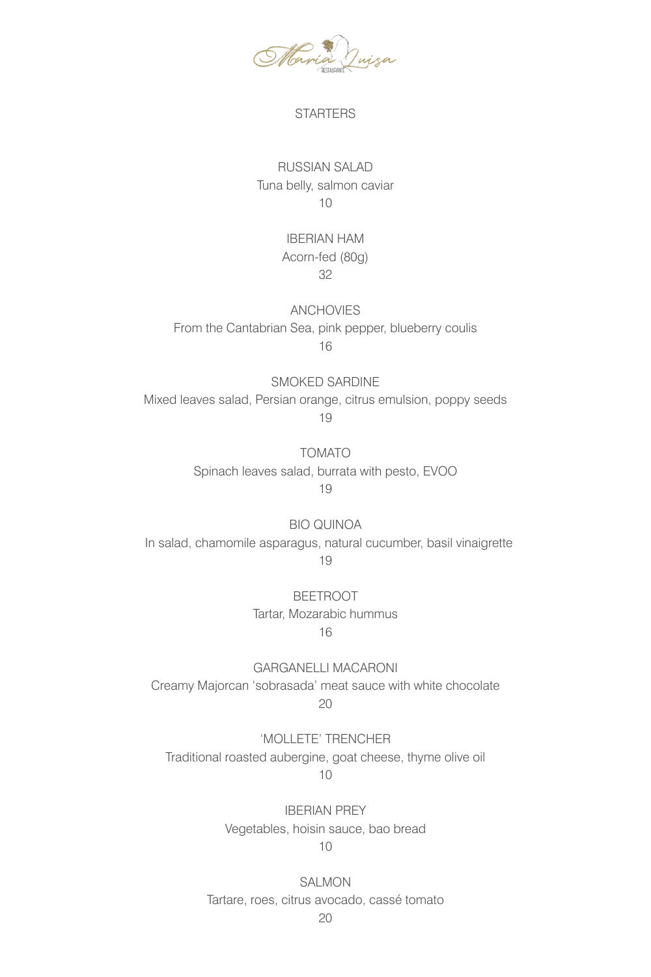

### **STARTERS**

# RUSSIAN SALAD Tuna belly, salmon caviar 10

### IBERIAN HAM Acorn-fed (80g) 32

ANCHOVIES From the Cantabrian Sea, pink pepper, blueberry coulis 16

SMOKED SARDINE Mixed leaves salad, Persian orange, citrus emulsion, poppy seeds 19

> TOMATO Spinach leaves salad, burrata with pesto, EVOO 19

BIO QUINOA In salad, chamomile asparagus, natural cucumber, basil vinaigrette 19

> BEETROOT Tartar, Mozarabic hummus 16

GARGANELLI MACARONI Creamy Majorcan 'sobrasada' meat sauce with white chocolate 20

'MOLLETE' TRENCHER Traditional roasted aubergine, goat cheese, thyme olive oil 10

> IBERIAN PREY Vegetables, hoisin sauce, bao bread 10

SALMON Tartare, roes, citrus avocado, cassé tomato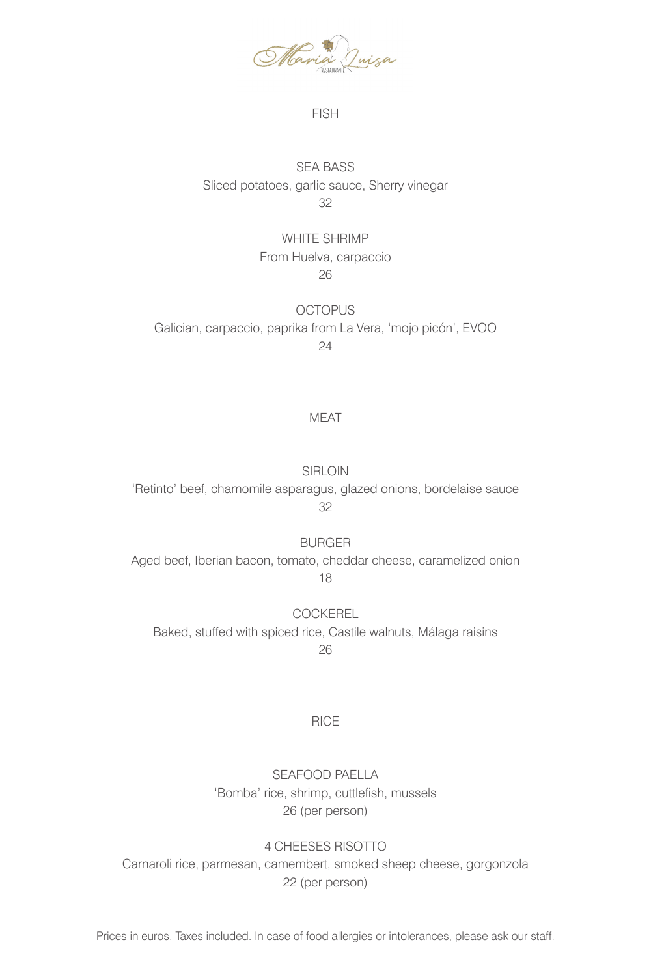

#### FISH

## SEA BASS Sliced potatoes, garlic sauce, Sherry vinegar 32

# WHITE SHRIMP From Huelva, carpaccio 26

**OCTOPUS** Galician, carpaccio, paprika from La Vera, 'mojo picón', EVOO 24

### MEAT

SIRLOIN 'Retinto' beef, chamomile asparagus, glazed onions, bordelaise sauce 32

BURGER Aged beef, Iberian bacon, tomato, cheddar cheese, caramelized onion 18

COCKEREL Baked, stuffed with spiced rice, Castile walnuts, Málaga raisins 26

#### RICE

SEAFOOD PAELLA 'Bomba' rice, shrimp, cuttlefish, mussels 26 (per person)

4 CHEESES RISOTTO Carnaroli rice, parmesan, camembert, smoked sheep cheese, gorgonzola 22 (per person)

Prices in euros. Taxes included. In case of food allergies or intolerances, please ask our staff.